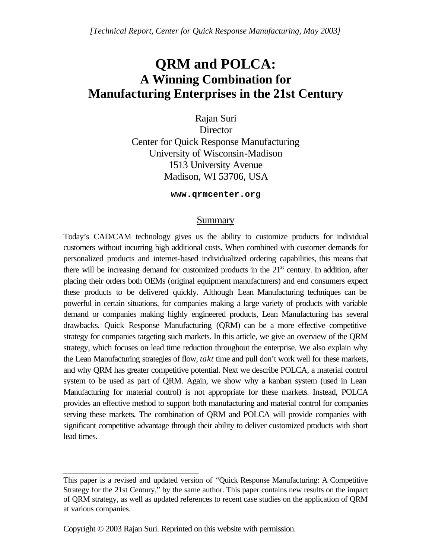# **QRM and POLCA: A Winning Combination for Manufacturing Enterprises in the 21st Century**

Rajan Suri **Director** Center for Quick Response Manufacturing University of Wisconsin-Madison 1513 University Avenue Madison, WI 53706, USA

**www.qrmcenter.org** 

### Summary

Today's CAD/CAM technology gives us the ability to customize products for individual customers without incurring high additional costs. When combined with customer demands for personalized products and internet-based individualized ordering capabilities, this means that there will be increasing demand for customized products in the  $21<sup>st</sup>$  century. In addition, after placing their orders both OEMs (original equipment manufacturers) and end consumers expect these products to be delivered quickly. Although Lean Manufacturing techniques can be powerful in certain situations, for companies making a large variety of products with variable demand or companies making highly engineered products, Lean Manufacturing has several drawbacks. Quick Response Manufacturing (QRM) can be a more effective competitive strategy for companies targeting such markets. In this article, we give an overview of the QRM strategy, which focuses on lead time reduction throughout the enterprise. We also explain why the Lean Manufacturing strategies of flow, *takt* time and pull don't work well for these markets, and why QRM has greater competitive potential. Next we describe POLCA, a material control system to be used as part of QRM. Again, we show why a kanban system (used in Lean Manufacturing for material control) is not appropriate for these markets. Instead, POLCA provides an effective method to support both manufacturing and material control for companies serving these markets. The combination of QRM and POLCA will provide companies with significant competitive advantage through their ability to deliver customized products with short lead times.

Copyright © 2003 Rajan Suri. Reprinted on this website with permission.

\_\_\_\_\_\_\_\_\_\_\_\_\_\_\_\_\_\_\_\_\_\_\_\_\_\_\_\_\_\_\_\_

This paper is a revised and updated version of "Quick Response Manufacturing: A Competitive Strategy for the 21st Century," by the same author. This paper contains new results on the impact of QRM strategy, as well as updated references to recent case studies on the application of QRM at various companies.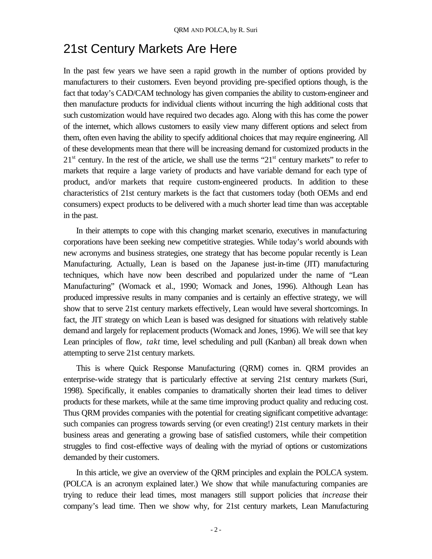## 21st Century Markets Are Here

In the past few years we have seen a rapid growth in the number of options provided by manufacturers to their customers. Even beyond providing pre-specified options though, is the fact that today's CAD/CAM technology has given companies the ability to custom-engineer and then manufacture products for individual clients without incurring the high additional costs that such customization would have required two decades ago. Along with this has come the power of the internet, which allows customers to easily view many different options and select from them, often even having the ability to specify additional choices that may require engineering. All of these developments mean that there will be increasing demand for customized products in the  $21<sup>st</sup>$  century. In the rest of the article, we shall use the terms " $21<sup>st</sup>$  century markets" to refer to markets that require a large variety of products and have variable demand for each type of product, and/or markets that require custom-engineered products. In addition to these characteristics of 21st century markets is the fact that customers today (both OEMs and end consumers) expect products to be delivered with a much shorter lead time than was acceptable in the past.

In their attempts to cope with this changing market scenario, executives in manufacturing corporations have been seeking new competitive strategies. While today's world abounds with new acronyms and business strategies, one strategy that has become popular recently is Lean Manufacturing. Actually, Lean is based on the Japanese just-in-time (JIT) manufacturing techniques, which have now been described and popularized under the name of "Lean Manufacturing" (Womack et al., 1990; Womack and Jones, 1996). Although Lean has produced impressive results in many companies and is certainly an effective strategy, we will show that to serve 21st century markets effectively, Lean would have several shortcomings. In fact, the JIT strategy on which Lean is based was designed for situations with relatively stable demand and largely for replacement products (Womack and Jones, 1996). We will see that key Lean principles of flow, *takt* time, level scheduling and pull (Kanban) all break down when attempting to serve 21st century markets.

This is where Quick Response Manufacturing (QRM) comes in. QRM provides an enterprise-wide strategy that is particularly effective at serving 21st century markets (Suri, 1998). Specifically, it enables companies to dramatically shorten their lead times to deliver products for these markets, while at the same time improving product quality and reducing cost. Thus QRM provides companies with the potential for creating significant competitive advantage: such companies can progress towards serving (or even creating!) 21st century markets in their business areas and generating a growing base of satisfied customers, while their competition struggles to find cost-effective ways of dealing with the myriad of options or customizations demanded by their customers.

In this article, we give an overview of the QRM principles and explain the POLCA system. (POLCA is an acronym explained later.) We show that while manufacturing companies are trying to reduce their lead times, most managers still support policies that *increase* their company's lead time. Then we show why, for 21st century markets, Lean Manufacturing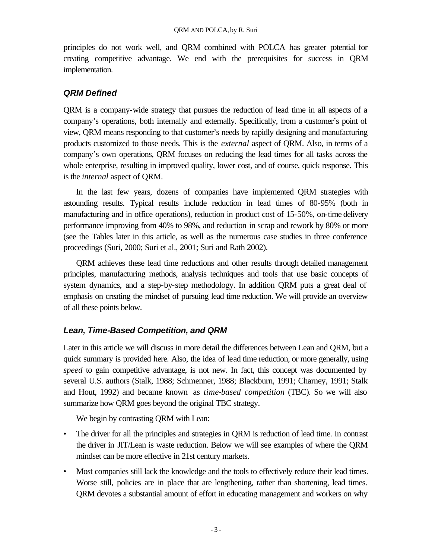principles do not work well, and QRM combined with POLCA has greater potential for creating competitive advantage. We end with the prerequisites for success in QRM implementation.

## *QRM Defined*

QRM is a company-wide strategy that pursues the reduction of lead time in all aspects of a company's operations, both internally and externally. Specifically, from a customer's point of view, QRM means responding to that customer's needs by rapidly designing and manufacturing products customized to those needs. This is the *external* aspect of QRM. Also, in terms of a company's own operations, QRM focuses on reducing the lead times for all tasks across the whole enterprise, resulting in improved quality, lower cost, and of course, quick response. This is the *internal* aspect of QRM.

In the last few years, dozens of companies have implemented QRM strategies with astounding results. Typical results include reduction in lead times of 80-95% (both in manufacturing and in office operations), reduction in product cost of 15-50%, on-time delivery performance improving from 40% to 98%, and reduction in scrap and rework by 80% or more (see the Tables later in this article, as well as the numerous case studies in three conference proceedings (Suri, 2000; Suri et al., 2001; Suri and Rath 2002).

QRM achieves these lead time reductions and other results through detailed management principles, manufacturing methods, analysis techniques and tools that use basic concepts of system dynamics, and a step-by-step methodology. In addition QRM puts a great deal of emphasis on creating the mindset of pursuing lead time reduction. We will provide an overview of all these points below.

## *Lean, Time-Based Competition, and QRM*

Later in this article we will discuss in more detail the differences between Lean and QRM, but a quick summary is provided here. Also, the idea of lead time reduction, or more generally, using *speed* to gain competitive advantage, is not new. In fact, this concept was documented by several U.S. authors (Stalk, 1988; Schmenner, 1988; Blackburn, 1991; Charney, 1991; Stalk and Hout, 1992) and became known as *time-based competition* (TBC). So we will also summarize how QRM goes beyond the original TBC strategy.

We begin by contrasting QRM with Lean:

- The driver for all the principles and strategies in QRM is reduction of lead time. In contrast the driver in JIT/Lean is waste reduction. Below we will see examples of where the QRM mindset can be more effective in 21st century markets.
- Most companies still lack the knowledge and the tools to effectively reduce their lead times. Worse still, policies are in place that are lengthening, rather than shortening, lead times. QRM devotes a substantial amount of effort in educating management and workers on why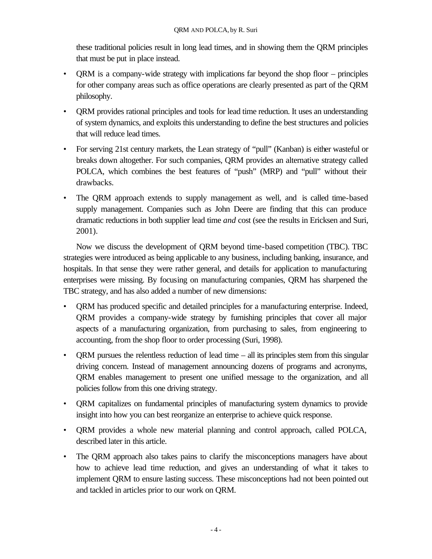these traditional policies result in long lead times, and in showing them the QRM principles that must be put in place instead.

- ORM is a company-wide strategy with implications far beyond the shop floor principles for other company areas such as office operations are clearly presented as part of the QRM philosophy.
- QRM provides rational principles and tools for lead time reduction. It uses an understanding of system dynamics, and exploits this understanding to define the best structures and policies that will reduce lead times.
- For serving 21st century markets, the Lean strategy of "pull" (Kanban) is either wasteful or breaks down altogether. For such companies, QRM provides an alternative strategy called POLCA, which combines the best features of "push" (MRP) and "pull" without their drawbacks.
- The QRM approach extends to supply management as well, and is called time-based supply management. Companies such as John Deere are finding that this can produce dramatic reductions in both supplier lead time *and* cost (see the results in Ericksen and Suri, 2001).

Now we discuss the development of QRM beyond time-based competition (TBC). TBC strategies were introduced as being applicable to any business, including banking, insurance, and hospitals. In that sense they were rather general, and details for application to manufacturing enterprises were missing. By focusing on manufacturing companies, QRM has sharpened the TBC strategy, and has also added a number of new dimensions:

- QRM has produced specific and detailed principles for a manufacturing enterprise. Indeed, QRM provides a company-wide strategy by furnishing principles that cover all major aspects of a manufacturing organization, from purchasing to sales, from engineering to accounting, from the shop floor to order processing (Suri, 1998).
- QRM pursues the relentless reduction of lead time all its principles stem from this singular driving concern. Instead of management announcing dozens of programs and acronyms, QRM enables management to present one unified message to the organization, and all policies follow from this one driving strategy.
- QRM capitalizes on fundamental principles of manufacturing system dynamics to provide insight into how you can best reorganize an enterprise to achieve quick response.
- QRM provides a whole new material planning and control approach, called POLCA, described later in this article.
- The QRM approach also takes pains to clarify the misconceptions managers have about how to achieve lead time reduction, and gives an understanding of what it takes to implement QRM to ensure lasting success. These misconceptions had not been pointed out and tackled in articles prior to our work on QRM.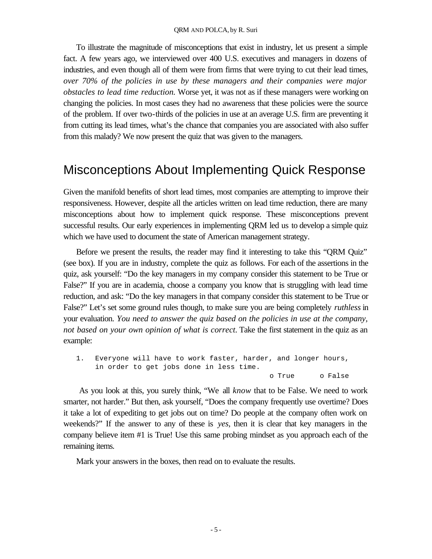To illustrate the magnitude of misconceptions that exist in industry, let us present a simple fact. A few years ago, we interviewed over 400 U.S. executives and managers in dozens of industries, and even though all of them were from firms that were trying to cut their lead times, *over 70% of the policies in use by these managers and their companies were major obstacles to lead time reduction.* Worse yet, it was not as if these managers were working on changing the policies. In most cases they had no awareness that these policies were the source of the problem. If over two-thirds of the policies in use at an average U.S. firm are preventing it from cutting its lead times, what's the chance that companies you are associated with also suffer from this malady? We now present the quiz that was given to the managers.

## Misconceptions About Implementing Quick Response

Given the manifold benefits of short lead times, most companies are attempting to improve their responsiveness. However, despite all the articles written on lead time reduction, there are many misconceptions about how to implement quick response. These misconceptions prevent successful results. Our early experiences in implementing QRM led us to develop a simple quiz which we have used to document the state of American management strategy.

Before we present the results, the reader may find it interesting to take this "QRM Quiz" (see box). If you are in industry, complete the quiz as follows. For each of the assertions in the quiz, ask yourself: "Do the key managers in my company consider this statement to be True or False?" If you are in academia, choose a company you know that is struggling with lead time reduction, and ask: "Do the key managers in that company consider this statement to be True or False?" Let's set some ground rules though, to make sure you are being completely *ruthless* in your evaluation. *You need to answer the quiz based on the policies in use at the company, not based on your own opinion of what is correct.* Take the first statement in the quiz as an example:

1. Everyone will have to work faster, harder, and longer hours, in order to get jobs done in less time. o True o False

 As you look at this, you surely think, "We all *know* that to be False. We need to work smarter, not harder." But then, ask yourself, "Does the company frequently use overtime? Does it take a lot of expediting to get jobs out on time? Do people at the company often work on weekends?" If the answer to any of these is *yes*, then it is clear that key managers in the company believe item #1 is True! Use this same probing mindset as you approach each of the remaining items.

Mark your answers in the boxes, then read on to evaluate the results.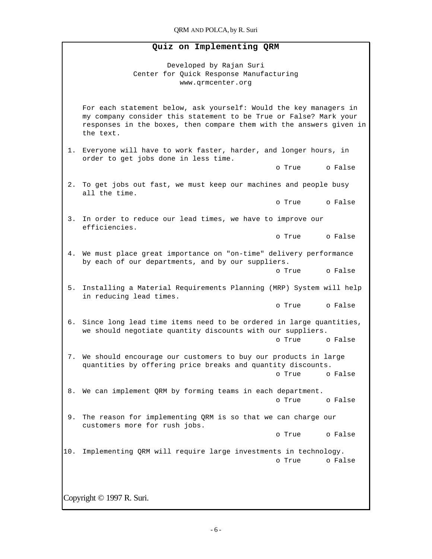#### **Quiz on Implementing QRM**

Developed by Rajan Suri Center for Quick Response Manufacturing www.qrmcenter.org

For each statement below, ask yourself: Would the key managers in my company consider this statement to be True or False? Mark your responses in the boxes, then compare them with the answers given in the text.

 1. Everyone will have to work faster, harder, and longer hours, in order to get jobs done in less time.

o True o False

 2. To get jobs out fast, we must keep our machines and people busy all the time.

o True o False

 3. In order to reduce our lead times, we have to improve our efficiencies.

o True o False

 4. We must place great importance on "on-time" delivery performance by each of our departments, and by our suppliers.

o True o False

 5. Installing a Material Requirements Planning (MRP) System will help in reducing lead times.

o True o False

 6. Since long lead time items need to be ordered in large quantities, we should negotiate quantity discounts with our suppliers.

o True o False

 7. We should encourage our customers to buy our products in large quantities by offering price breaks and quantity discounts. o True o False

 8. We can implement QRM by forming teams in each department. o True o False

9. The reason for implementing QRM is so that we can charge our customers more for rush jobs.

o True o False

10. Implementing QRM will require large investments in technology. o True o False

Copyright © 1997 R. Suri.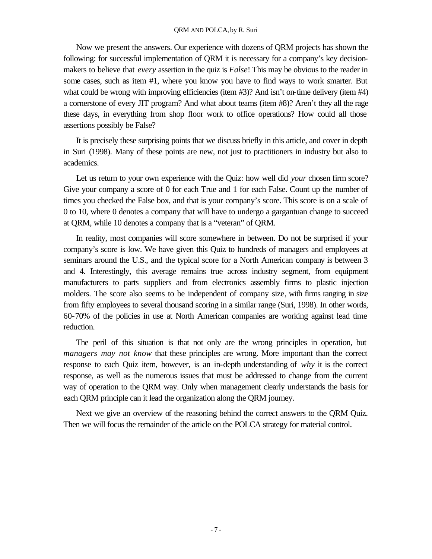#### QRM AND POLCA, by R. Suri

Now we present the answers. Our experience with dozens of QRM projects has shown the following: for successful implementation of QRM it is necessary for a company's key decisionmakers to believe that *every* assertion in the quiz is *False*! This may be obvious to the reader in some cases, such as item #1, where you know you have to find ways to work smarter. But what could be wrong with improving efficiencies (item #3)? And isn't on-time delivery (item #4) a cornerstone of every JIT program? And what about teams (item #8)? Aren't they all the rage these days, in everything from shop floor work to office operations? How could all those assertions possibly be False?

It is precisely these surprising points that we discuss briefly in this article, and cover in depth in Suri (1998). Many of these points are new, not just to practitioners in industry but also to academics.

Let us return to your own experience with the Quiz: how well did *your* chosen firm score? Give your company a score of 0 for each True and 1 for each False. Count up the number of times you checked the False box, and that is your company's score. This score is on a scale of 0 to 10, where 0 denotes a company that will have to undergo a gargantuan change to succeed at QRM, while 10 denotes a company that is a "veteran" of QRM.

In reality, most companies will score somewhere in between. Do not be surprised if your company's score is low. We have given this Quiz to hundreds of managers and employees at seminars around the U.S., and the typical score for a North American company is between 3 and 4. Interestingly, this average remains true across industry segment, from equipment manufacturers to parts suppliers and from electronics assembly firms to plastic injection molders. The score also seems to be independent of company size, with firms ranging in size from fifty employees to several thousand scoring in a similar range (Suri, 1998). In other words, 60-70% of the policies in use at North American companies are working against lead time reduction.

The peril of this situation is that not only are the wrong principles in operation, but *managers may not know* that these principles are wrong. More important than the correct response to each Quiz item, however, is an in-depth understanding of *why* it is the correct response, as well as the numerous issues that must be addressed to change from the current way of operation to the QRM way. Only when management clearly understands the basis for each QRM principle can it lead the organization along the QRM journey.

Next we give an overview of the reasoning behind the correct answers to the QRM Quiz. Then we will focus the remainder of the article on the POLCA strategy for material control.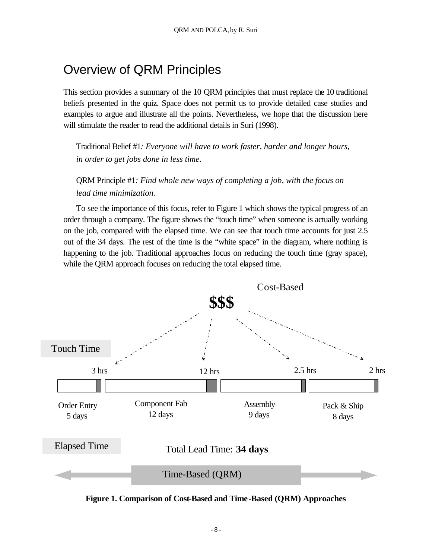# Overview of QRM Principles

This section provides a summary of the 10 QRM principles that must replace the 10 traditional beliefs presented in the quiz. Space does not permit us to provide detailed case studies and examples to argue and illustrate all the points. Nevertheless, we hope that the discussion here will stimulate the reader to read the additional details in Suri (1998).

Traditional Belief #1*: Everyone will have to work faster, harder and longer hours, in order to get jobs done in less time.*

QRM Principle #1*: Find whole new ways of completing a job, with the focus on lead time minimization.*

To see the importance of this focus, refer to Figure 1 which shows the typical progress of an order through a company. The figure shows the "touch time" when someone is actually working on the job, compared with the elapsed time. We can see that touch time accounts for just 2.5 out of the 34 days. The rest of the time is the "white space" in the diagram, where nothing is happening to the job. Traditional approaches focus on reducing the touch time (gray space), while the QRM approach focuses on reducing the total elapsed time.



**Figure 1. Comparison of Cost-Based and Time-Based (QRM) Approaches**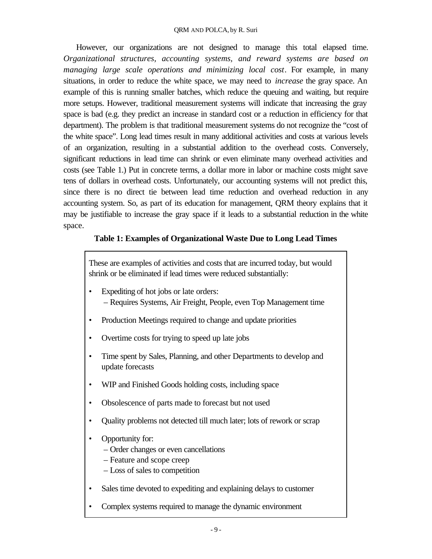However, our organizations are not designed to manage this total elapsed time. *Organizational structures, accounting systems, and reward systems are based on managing large scale operations and minimizing local cost*. For example, in many situations, in order to reduce the white space, we may need to *increase* the gray space. An example of this is running smaller batches, which reduce the queuing and waiting, but require more setups. However, traditional measurement systems will indicate that increasing the gray space is bad (e.g. they predict an increase in standard cost or a reduction in efficiency for that department). The problem is that traditional measurement systems do not recognize the "cost of the white space". Long lead times result in many additional activities and costs at various levels of an organization, resulting in a substantial addition to the overhead costs. Conversely, significant reductions in lead time can shrink or even eliminate many overhead activities and costs (see Table 1.) Put in concrete terms, a dollar more in labor or machine costs might save tens of dollars in overhead costs. Unfortunately, our accounting systems will not predict this, since there is no direct tie between lead time reduction and overhead reduction in any accounting system. So, as part of its education for management, QRM theory explains that it may be justifiable to increase the gray space if it leads to a substantial reduction in the white space.

### **Table 1: Examples of Organizational Waste Due to Long Lead Times**

These are examples of activities and costs that are incurred today, but would shrink or be eliminated if lead times were reduced substantially:

- Expediting of hot jobs or late orders: – Requires Systems, Air Freight, People, even Top Management time
- Production Meetings required to change and update priorities
- Overtime costs for trying to speed up late jobs
- Time spent by Sales, Planning, and other Departments to develop and update forecasts
- WIP and Finished Goods holding costs, including space
- Obsolescence of parts made to forecast but not used
- Quality problems not detected till much later; lots of rework or scrap
- Opportunity for:
	- Order changes or even cancellations
	- Feature and scope creep
	- Loss of sales to competition
- Sales time devoted to expediting and explaining delays to customer
- Complex systems required to manage the dynamic environment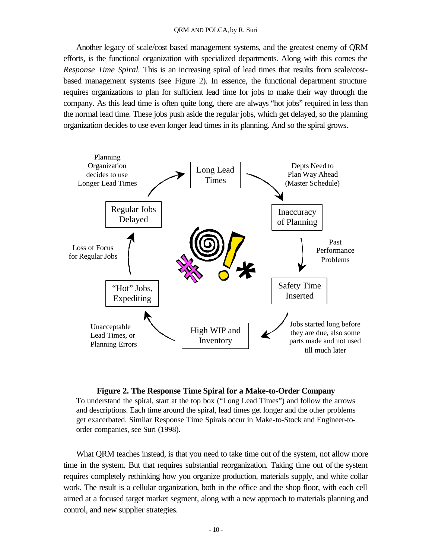Another legacy of scale/cost based management systems, and the greatest enemy of QRM efforts, is the functional organization with specialized departments. Along with this comes the *Response Time Spiral.* This is an increasing spiral of lead times that results from scale/costbased management systems (see Figure 2). In essence, the functional department structure requires organizations to plan for sufficient lead time for jobs to make their way through the company. As this lead time is often quite long, there are always "hot jobs" required in less than the normal lead time. These jobs push aside the regular jobs, which get delayed, so the planning organization decides to use even longer lead times in its planning. And so the spiral grows.



#### **Figure 2. The Response Time Spiral for a Make-to-Order Company**

To understand the spiral, start at the top box ("Long Lead Times") and follow the arrows and descriptions. Each time around the spiral, lead times get longer and the other problems get exacerbated. Similar Response Time Spirals occur in Make-to-Stock and Engineer-toorder companies, see Suri (1998).

What QRM teaches instead, is that you need to take time out of the system, not allow more time in the system. But that requires substantial reorganization. Taking time out of the system requires completely rethinking how you organize production, materials supply, and white collar work. The result is a cellular organization, both in the office and the shop floor, with each cell aimed at a focused target market segment, along with a new approach to materials planning and control, and new supplier strategies.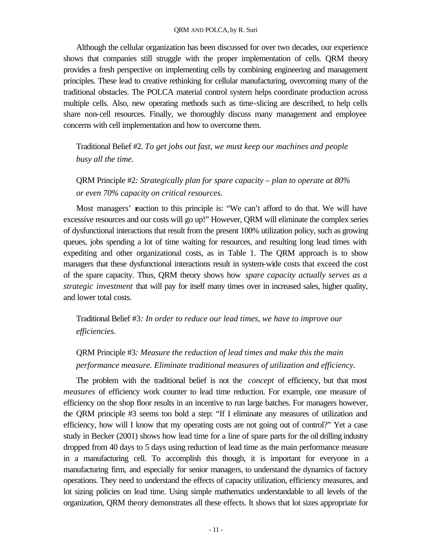Although the cellular organization has been discussed for over two decades, our experience shows that companies still struggle with the proper implementation of cells. QRM theory provides a fresh perspective on implementing cells by combining engineering and management principles. These lead to creative rethinking for cellular manufacturing, overcoming many of the traditional obstacles. The POLCA material control system helps coordinate production across multiple cells. Also, new operating methods such as time-slicing are described, to help cells share non-cell resources. Finally, we thoroughly discuss many management and employee concerns with cell implementation and how to overcome them.

Traditional Belief #2. *To get jobs out fast, we must keep our machines and people busy all the time.*

QRM Principle #2*: Strategically plan for spare capacity – plan to operate at 80% or even 70% capacity on critical resources.*

Most managers' reaction to this principle is: "We can't afford to do that. We will have excessive resources and our costs will go up!" However, QRM will eliminate the complex series of dysfunctional interactions that result from the present 100% utilization policy, such as growing queues, jobs spending a lot of time waiting for resources, and resulting long lead times with expediting and other organizational costs, as in Table 1. The QRM approach is to show managers that these dysfunctional interactions result in system-wide costs that exceed the cost of the spare capacity. Thus, QRM theory shows how *spare capacity actually serves as a strategic investment* that will pay for itself many times over in increased sales, higher quality, and lower total costs.

Traditional Belief #3*: In order to reduce our lead times, we have to improve our efficiencies.*

## QRM Principle #3*: Measure the reduction of lead times and make this the main performance measure. Eliminate traditional measures of utilization and efficiency.*

The problem with the traditional belief is not the *concept* of efficiency, but that most *measures* of efficiency work counter to lead time reduction. For example, one measure of efficiency on the shop floor results in an incentive to run large batches. For managers however, the QRM principle #3 seems too bold a step: "If I eliminate any measures of utilization and efficiency, how will I know that my operating costs are not going out of control?" Yet a case study in Becker (2001) shows how lead time for a line of spare parts for the oil drilling industry dropped from 40 days to 5 days using reduction of lead time as the main performance measure in a manufacturing cell. To accomplish this though, it is important for everyone in a manufacturing firm, and especially for senior managers, to understand the dynamics of factory operations. They need to understand the effects of capacity utilization, efficiency measures, and lot sizing policies on lead time. Using simple mathematics understandable to all levels of the organization, QRM theory demonstrates all these effects. It shows that lot sizes appropriate for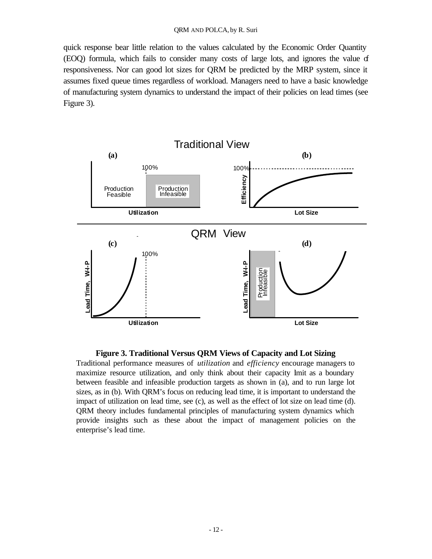quick response bear little relation to the values calculated by the Economic Order Quantity (EOQ) formula, which fails to consider many costs of large lots, and ignores the value of responsiveness. Nor can good lot sizes for QRM be predicted by the MRP system, since it assumes fixed queue times regardless of workload. Managers need to have a basic knowledge of manufacturing system dynamics to understand the impact of their policies on lead times (see Figure 3).



#### **Figure 3. Traditional Versus QRM Views of Capacity and Lot Sizing**

Traditional performance measures of *utilization* and *efficiency* encourage managers to maximize resource utilization, and only think about their capacity lmit as a boundary between feasible and infeasible production targets as shown in (a), and to run large lot sizes, as in (b). With QRM's focus on reducing lead time, it is important to understand the impact of utilization on lead time, see (c), as well as the effect of lot size on lead time (d). QRM theory includes fundamental principles of manufacturing system dynamics which provide insights such as these about the impact of management policies on the enterprise's lead time.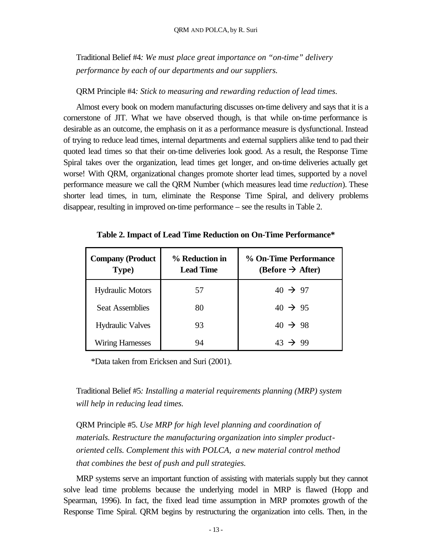Traditional Belief #4*: We must place great importance on "on-time" delivery performance by each of our departments and our suppliers.*

#### QRM Principle #4*: Stick to measuring and rewarding reduction of lead times.*

Almost every book on modern manufacturing discusses on-time delivery and says that it is a cornerstone of JIT. What we have observed though, is that while on-time performance is desirable as an outcome, the emphasis on it as a performance measure is dysfunctional. Instead of trying to reduce lead times, internal departments and external suppliers alike tend to pad their quoted lead times so that their on-time deliveries look good. As a result, the Response Time Spiral takes over the organization, lead times get longer, and on-time deliveries actually get worse! With QRM, organizational changes promote shorter lead times, supported by a novel performance measure we call the QRM Number (which measures lead time *reduction*). These shorter lead times, in turn, eliminate the Response Time Spiral, and delivery problems disappear, resulting in improved on-time performance – see the results in Table 2.

| <b>Company (Product</b><br>Type) | % Reduction in<br><b>Lead Time</b> | % On-Time Performance<br>$(Before \rightarrow After)$ |
|----------------------------------|------------------------------------|-------------------------------------------------------|
| <b>Hydraulic Motors</b>          | 57                                 | $40 \rightarrow 97$                                   |
| <b>Seat Assemblies</b>           | 80                                 | $40 \rightarrow 95$                                   |
| <b>Hydraulic Valves</b>          | 93                                 | $40 \rightarrow 98$                                   |
| <b>Wiring Harnesses</b>          | 94                                 | $43 \rightarrow 99$                                   |

**Table 2. Impact of Lead Time Reduction on On-Time Performance\***

\*Data taken from Ericksen and Suri (2001).

Traditional Belief #5*: Installing a material requirements planning (MRP) system will help in reducing lead times.*

QRM Principle #5. *Use MRP for high level planning and coordination of materials. Restructure the manufacturing organization into simpler productoriented cells. Complement this with POLCA, a new material control method that combines the best of push and pull strategies.*

MRP systems serve an important function of assisting with materials supply but they cannot solve lead time problems because the underlying model in MRP is flawed (Hopp and Spearman, 1996). In fact, the fixed lead time assumption in MRP promotes growth of the Response Time Spiral. QRM begins by restructuring the organization into cells. Then, in the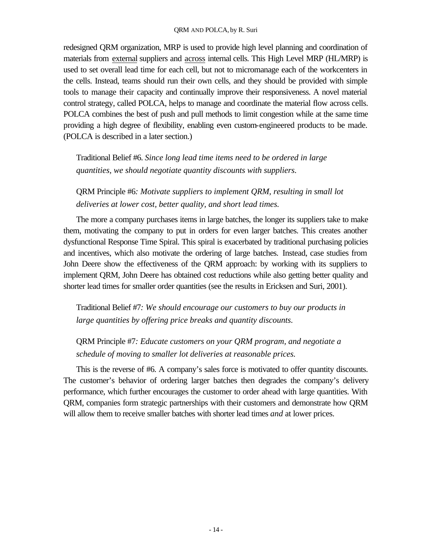#### QRM AND POLCA, by R. Suri

redesigned QRM organization, MRP is used to provide high level planning and coordination of materials from external suppliers and across internal cells. This High Level MRP (HL/MRP) is used to set overall lead time for each cell, but not to micromanage each of the workcenters in the cells. Instead, teams should run their own cells, and they should be provided with simple tools to manage their capacity and continually improve their responsiveness. A novel material control strategy, called POLCA, helps to manage and coordinate the material flow across cells. POLCA combines the best of push and pull methods to limit congestion while at the same time providing a high degree of flexibility, enabling even custom-engineered products to be made. (POLCA is described in a later section.)

Traditional Belief #6. *Since long lead time items need to be ordered in large quantities, we should negotiate quantity discounts with suppliers.*

QRM Principle #6*: Motivate suppliers to implement QRM, resulting in small lot deliveries at lower cost, better quality, and short lead times.*

The more a company purchases items in large batches, the longer its suppliers take to make them, motivating the company to put in orders for even larger batches. This creates another dysfunctional Response Time Spiral. This spiral is exacerbated by traditional purchasing policies and incentives, which also motivate the ordering of large batches. Instead, case studies from John Deere show the effectiveness of the QRM approach: by working with its suppliers to implement QRM, John Deere has obtained cost reductions while also getting better quality and shorter lead times for smaller order quantities (see the results in Ericksen and Suri, 2001).

Traditional Belief #7*: We should encourage our customers to buy our products in large quantities by offering price breaks and quantity discounts.*

QRM Principle #7*: Educate customers on your QRM program, and negotiate a schedule of moving to smaller lot deliveries at reasonable prices.*

This is the reverse of #6. A company's sales force is motivated to offer quantity discounts. The customer's behavior of ordering larger batches then degrades the company's delivery performance, which further encourages the customer to order ahead with large quantities. With QRM, companies form strategic partnerships with their customers and demonstrate how QRM will allow them to receive smaller batches with shorter lead times *and* at lower prices.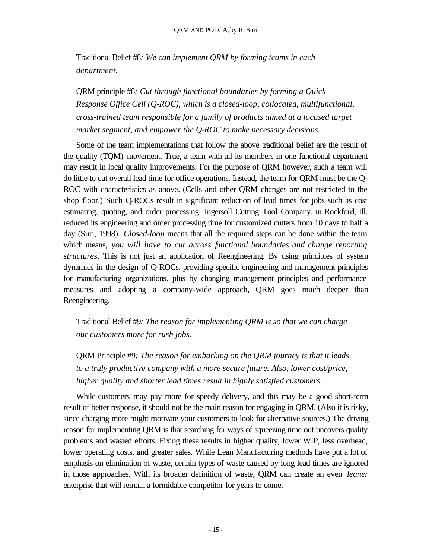Traditional Belief #8*: We can implement QRM by forming teams in each department.*

QRM principle #8*: Cut through functional boundaries by forming a Quick Response Office Cell (Q-ROC), which is a closed-loop, collocated, multifunctional, cross-trained team responsible for a family of products aimed at a focused target market segment, and empower the Q-ROC to make necessary decisions.*

Some of the team implementations that follow the above traditional belief are the result of the quality (TQM) movement. True, a team with all its members in one functional department may result in local quality improvements. For the purpose of QRM however, such a team will do little to cut overall lead time for office operations. Instead, the team for QRM must be the Q-ROC with characteristics as above. (Cells and other QRM changes are not restricted to the shop floor.) Such Q-ROCs result in significant reduction of lead times for jobs such as cost estimating, quoting, and order processing: Ingersoll Cutting Tool Company, in Rockford, Ill. reduced its engineering and order processing time for customized cutters from 10 days to half a day (Suri, 1998). *Closed-loop* means that all the required steps can be done within the team which means, *you will have to cut across functional boundaries and change reporting structures*. This is not just an application of Reengineering. By using principles of system dynamics in the design of Q-ROCs, providing specific engineering and management principles for manufacturing organizations, plus by changing management principles and performance measures and adopting a company-wide approach, QRM goes much deeper than Reengineering.

Traditional Belief #9*: The reason for implementing QRM is so that we can charge our customers more for rush jobs.*

QRM Principle #9*: The reason for embarking on the QRM journey is that it leads to a truly productive company with a more secure future. Also, lower cost/price, higher quality and shorter lead times result in highly satisfied customers.*

While customers may pay more for speedy delivery, and this may be a good short-term result of better response, it should not be the main reason for engaging in QRM. (Also it is risky, since charging more might motivate your customers to look for alternative sources.) The driving reason for implementing QRM is that searching for ways of squeezing time out uncovers quality problems and wasted efforts. Fixing these results in higher quality, lower WIP, less overhead, lower operating costs, and greater sales. While Lean Manufacturing methods have put a lot of emphasis on elimination of waste, certain types of waste caused by long lead times are ignored in those approaches. With its broader definition of waste, QRM can create an even *leaner* enterprise that will remain a formidable competitor for years to come.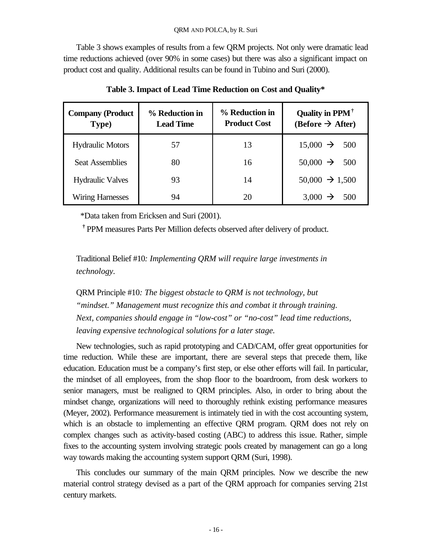Table 3 shows examples of results from a few QRM projects. Not only were dramatic lead time reductions achieved (over 90% in some cases) but there was also a significant impact on product cost and quality. Additional results can be found in Tubino and Suri (2000).

| <b>Company (Product</b><br>Type) | % Reduction in<br><b>Lead Time</b> | % Reduction in<br><b>Product Cost</b> | Quality in PPM <sup>†</sup><br>$(Before \rightarrow After)$ |
|----------------------------------|------------------------------------|---------------------------------------|-------------------------------------------------------------|
| <b>Hydraulic Motors</b>          | 57                                 | 13                                    | $15,000 \rightarrow 500$                                    |
| <b>Seat Assemblies</b>           | 80                                 | 16                                    | $50,000 \rightarrow 500$                                    |
| <b>Hydraulic Valves</b>          | 93                                 | 14                                    | $50,000 \rightarrow 1,500$                                  |
| <b>Wiring Harnesses</b>          | 94                                 | 20                                    | $3,000 \rightarrow 500$                                     |

**Table 3. Impact of Lead Time Reduction on Cost and Quality\***

\*Data taken from Ericksen and Suri (2001).

**†** PPM measures Parts Per Million defects observed after delivery of product.

Traditional Belief #10*: Implementing QRM will require large investments in technology.*

QRM Principle #10*: The biggest obstacle to QRM is not technology, but "mindset." Management must recognize this and combat it through training. Next, companies should engage in "low-cost" or "no-cost" lead time reductions, leaving expensive technological solutions for a later stage.*

New technologies, such as rapid prototyping and CAD/CAM, offer great opportunities for time reduction. While these are important, there are several steps that precede them, like education. Education must be a company's first step, or else other efforts will fail. In particular, the mindset of all employees, from the shop floor to the boardroom, from desk workers to senior managers, must be realigned to QRM principles. Also, in order to bring about the mindset change, organizations will need to thoroughly rethink existing performance measures (Meyer, 2002). Performance measurement is intimately tied in with the cost accounting system, which is an obstacle to implementing an effective QRM program. QRM does not rely on complex changes such as activity-based costing (ABC) to address this issue. Rather, simple fixes to the accounting system involving strategic pools created by management can go a long way towards making the accounting system support QRM (Suri, 1998).

This concludes our summary of the main QRM principles. Now we describe the new material control strategy devised as a part of the QRM approach for companies serving 21st century markets.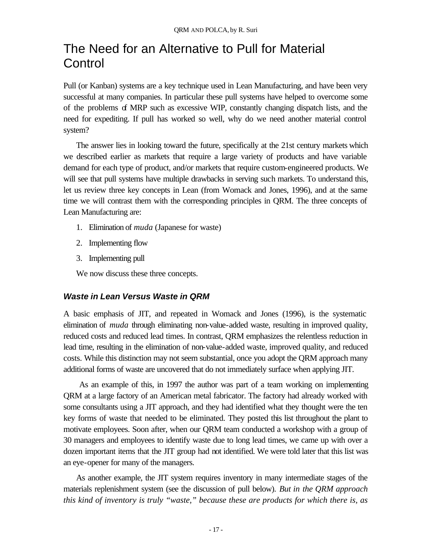# The Need for an Alternative to Pull for Material **Control**

Pull (or Kanban) systems are a key technique used in Lean Manufacturing, and have been very successful at many companies. In particular these pull systems have helped to overcome some of the problems of MRP such as excessive WIP, constantly changing dispatch lists, and the need for expediting. If pull has worked so well, why do we need another material control system?

The answer lies in looking toward the future, specifically at the 21st century markets which we described earlier as markets that require a large variety of products and have variable demand for each type of product, and/or markets that require custom-engineered products. We will see that pull systems have multiple drawbacks in serving such markets. To understand this, let us review three key concepts in Lean (from Womack and Jones, 1996), and at the same time we will contrast them with the corresponding principles in QRM. The three concepts of Lean Manufacturing are:

- 1. Elimination of *muda* (Japanese for waste)
- 2. Implementing flow
- 3. Implementing pull

We now discuss these three concepts.

### *Waste in Lean Versus Waste in QRM*

A basic emphasis of JIT, and repeated in Womack and Jones (1996), is the systematic elimination of *muda* through eliminating non-value-added waste, resulting in improved quality, reduced costs and reduced lead times. In contrast, QRM emphasizes the relentless reduction in lead time, resulting in the elimination of non-value-added waste, improved quality, and reduced costs. While this distinction may not seem substantial, once you adopt the QRM approach many additional forms of waste are uncovered that do not immediately surface when applying JIT.

 As an example of this, in 1997 the author was part of a team working on implementing QRM at a large factory of an American metal fabricator. The factory had already worked with some consultants using a JIT approach, and they had identified what they thought were the ten key forms of waste that needed to be eliminated. They posted this list throughout the plant to motivate employees. Soon after, when our QRM team conducted a workshop with a group of 30 managers and employees to identify waste due to long lead times, we came up with over a dozen important items that the JIT group had not identified. We were told later that this list was an eye-opener for many of the managers.

As another example, the JIT system requires inventory in many intermediate stages of the materials replenishment system (see the discussion of pull below). *But in the QRM approach this kind of inventory is truly "waste," because these are products for which there is, as*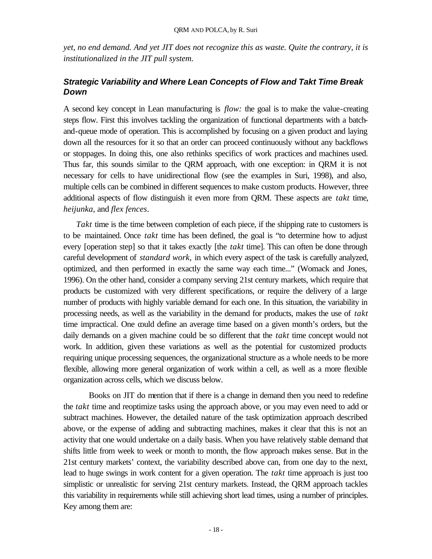*yet, no end demand. And yet JIT does not recognize this as waste. Quite the contrary, it is institutionalized in the JIT pull system.*

## *Strategic Variability and Where Lean Concepts of Flow and Takt Time Break Down*

A second key concept in Lean manufacturing is *flow:* the goal is to make the value-creating steps flow. First this involves tackling the organization of functional departments with a batchand-queue mode of operation. This is accomplished by focusing on a given product and laying down all the resources for it so that an order can proceed continuously without any backflows or stoppages. In doing this, one also rethinks specifics of work practices and machines used. Thus far, this sounds similar to the QRM approach, with one exception: in QRM it is not necessary for cells to have unidirectional flow (see the examples in Suri, 1998), and also, multiple cells can be combined in different sequences to make custom products. However, three additional aspects of flow distinguish it even more from QRM. These aspects are *takt* time, *heijunka,* and *flex fences*.

*Takt* time is the time between completion of each piece, if the shipping rate to customers is to be maintained. Once *takt* time has been defined, the goal is "to determine how to adjust every [operation step] so that it takes exactly [the *takt* time]. This can often be done through careful development of *standard work,* in which every aspect of the task is carefully analyzed, optimized, and then performed in exactly the same way each time..." (Womack and Jones, 1996). On the other hand, consider a company serving 21st century markets, which require that products be customized with very different specifications, or require the delivery of a large number of products with highly variable demand for each one. In this situation, the variability in processing needs, as well as the variability in the demand for products, makes the use of *takt*  time impractical. One could define an average time based on a given month's orders, but the daily demands on a given machine could be so different that the *takt* time concept would not work. In addition, given these variations as well as the potential for customized products requiring unique processing sequences, the organizational structure as a whole needs to be more flexible, allowing more general organization of work within a cell, as well as a more flexible organization across cells, which we discuss below.

Books on JIT do mention that if there is a change in demand then you need to redefine the *takt* time and reoptimize tasks using the approach above, or you may even need to add or subtract machines. However, the detailed nature of the task optimization approach described above, or the expense of adding and subtracting machines, makes it clear that this is not an activity that one would undertake on a daily basis. When you have relatively stable demand that shifts little from week to week or month to month, the flow approach makes sense. But in the 21st century markets' context, the variability described above can, from one day to the next, lead to huge swings in work content for a given operation. The *takt* time approach is just too simplistic or unrealistic for serving 21st century markets. Instead, the QRM approach tackles this variability in requirements while still achieving short lead times, using a number of principles. Key among them are: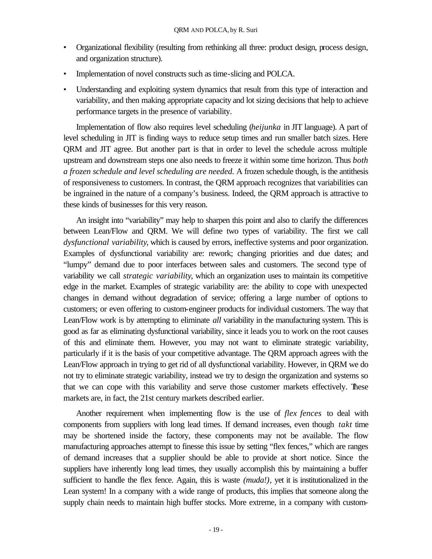- Organizational flexibility (resulting from rethinking all three: product design, process design, and organization structure).
- Implementation of novel constructs such as time-slicing and POLCA.
- Understanding and exploiting system dynamics that result from this type of interaction and variability, and then making appropriate capacity and lot sizing decisions that help to achieve performance targets in the presence of variability.

Implementation of flow also requires level scheduling (*heijunka* in JIT language). A part of level scheduling in JIT is finding ways to reduce setup times and run smaller batch sizes. Here QRM and JIT agree. But another part is that in order to level the schedule across multiple upstream and downstream steps one also needs to freeze it within some time horizon. Thus *both a frozen schedule and level scheduling are needed.* A frozen schedule though, is the antithesis of responsiveness to customers. In contrast, the QRM approach recognizes that variabilities can be ingrained in the nature of a company's business. Indeed, the QRM approach is attractive to these kinds of businesses for this very reason.

An insight into "variability" may help to sharpen this point and also to clarify the differences between Lean/Flow and QRM. We will define two types of variability. The first we call *dysfunctional variability*, which is caused by errors, ineffective systems and poor organization. Examples of dysfunctional variability are: rework; changing priorities and due dates; and "lumpy" demand due to poor interfaces between sales and customers. The second type of variability we call *strategic variability*, which an organization uses to maintain its competitive edge in the market. Examples of strategic variability are: the ability to cope with unexpected changes in demand without degradation of service; offering a large number of options to customers; or even offering to custom-engineer products for individual customers. The way that Lean/Flow work is by attempting to eliminate *all* variability in the manufacturing system. This is good as far as eliminating dysfunctional variability, since it leads you to work on the root causes of this and eliminate them. However, you may not want to eliminate strategic variability, particularly if it is the basis of your competitive advantage. The QRM approach agrees with the Lean/Flow approach in trying to get rid of all dysfunctional variability. However, in QRM we do not try to eliminate strategic variability, instead we try to design the organization and systems so that we can cope with this variability and serve those customer markets effectively. These markets are, in fact, the 21st century markets described earlier.

Another requirement when implementing flow is the use of *flex fences* to deal with components from suppliers with long lead times. If demand increases, even though *takt* time may be shortened inside the factory, these components may not be available. The flow manufacturing approaches attempt to finesse this issue by setting "flex fences," which are ranges of demand increases that a supplier should be able to provide at short notice. Since the suppliers have inherently long lead times, they usually accomplish this by maintaining a buffer sufficient to handle the flex fence. Again, this is waste *(muda!),* yet it is institutionalized in the Lean system! In a company with a wide range of products, this implies that someone along the supply chain needs to maintain high buffer stocks. More extreme, in a company with custom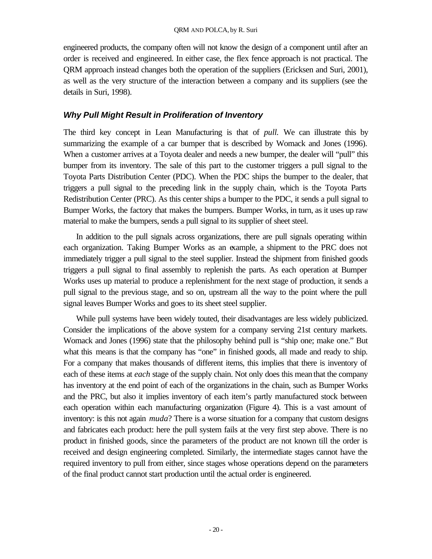engineered products, the company often will not know the design of a component until after an order is received and engineered. In either case, the flex fence approach is not practical. The QRM approach instead changes both the operation of the suppliers (Ericksen and Suri, 2001), as well as the very structure of the interaction between a company and its suppliers (see the details in Suri, 1998).

## *Why Pull Might Result in Proliferation of Inventory*

The third key concept in Lean Manufacturing is that of *pull.* We can illustrate this by summarizing the example of a car bumper that is described by Womack and Jones (1996). When a customer arrives at a Toyota dealer and needs a new bumper, the dealer will "pull" this bumper from its inventory. The sale of this part to the customer triggers a pull signal to the Toyota Parts Distribution Center (PDC). When the PDC ships the bumper to the dealer, that triggers a pull signal to the preceding link in the supply chain, which is the Toyota Parts Redistribution Center (PRC). As this center ships a bumper to the PDC, it sends a pull signal to Bumper Works, the factory that makes the bumpers. Bumper Works, in turn, as it uses up raw material to make the bumpers, sends a pull signal to its supplier of sheet steel.

In addition to the pull signals across organizations, there are pull signals operating within each organization. Taking Bumper Works as an example, a shipment to the PRC does not immediately trigger a pull signal to the steel supplier. Instead the shipment from finished goods triggers a pull signal to final assembly to replenish the parts. As each operation at Bumper Works uses up material to produce a replenishment for the next stage of production, it sends a pull signal to the previous stage, and so on, upstream all the way to the point where the pull signal leaves Bumper Works and goes to its sheet steel supplier.

While pull systems have been widely touted, their disadvantages are less widely publicized. Consider the implications of the above system for a company serving 21st century markets. Womack and Jones (1996) state that the philosophy behind pull is "ship one; make one." But what this means is that the company has "one" in finished goods, all made and ready to ship. For a company that makes thousands of different items, this implies that there is inventory of each of these items at *each* stage of the supply chain. Not only does this mean that the company has inventory at the end point of each of the organizations in the chain, such as Bumper Works and the PRC, but also it implies inventory of each item's partly manufactured stock between each operation within each manufacturing organization (Figure 4). This is a vast amount of inventory: is this not again *muda*? There is a worse situation for a company that custom designs and fabricates each product: here the pull system fails at the very first step above. There is no product in finished goods, since the parameters of the product are not known till the order is received and design engineering completed. Similarly, the intermediate stages cannot have the required inventory to pull from either, since stages whose operations depend on the parameters of the final product cannot start production until the actual order is engineered.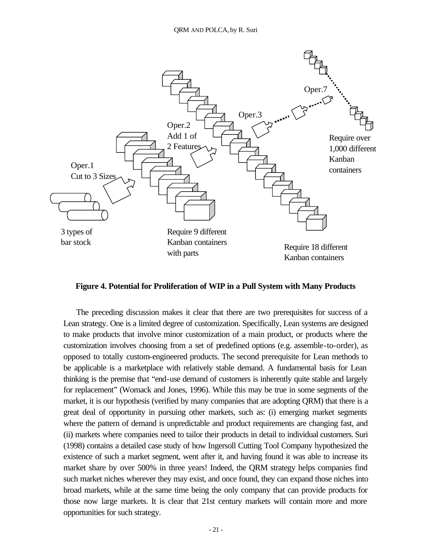

**Figure 4. Potential for Proliferation of WIP in a Pull System with Many Products**

The preceding discussion makes it clear that there are two prerequisites for success of a Lean strategy. One is a limited degree of customization. Specifically, Lean systems are designed to make products that involve minor customization of a main product, or products where the customization involves choosing from a set of predefined options (e.g. assemble-to-order), as opposed to totally custom-engineered products. The second prerequisite for Lean methods to be applicable is a marketplace with relatively stable demand. A fundamental basis for Lean thinking is the premise that "end-use demand of customers is inherently quite stable and largely for replacement" (Womack and Jones, 1996). While this may be true in some segments of the market, it is our hypothesis (verified by many companies that are adopting QRM) that there is a great deal of opportunity in pursuing other markets, such as: (i) emerging market segments where the pattern of demand is unpredictable and product requirements are changing fast, and (ii) markets where companies need to tailor their products in detail to individual customers. Suri (1998) contains a detailed case study of how Ingersoll Cutting Tool Company hypothesized the existence of such a market segment, went after it, and having found it was able to increase its market share by over 500% in three years! Indeed, the QRM strategy helps companies find such market niches wherever they may exist, and once found, they can expand those niches into broad markets, while at the same time being the only company that can provide products for those now large markets. It is clear that 21st century markets will contain more and more opportunities for such strategy.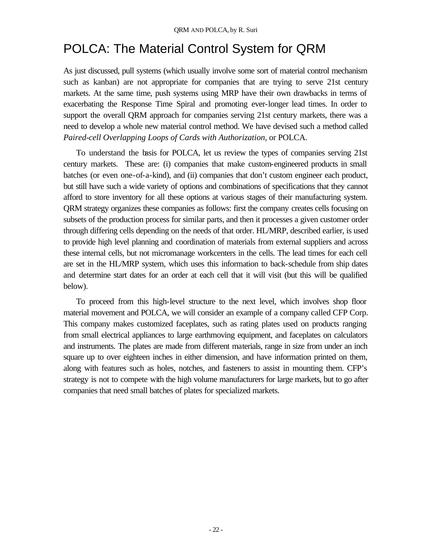# POLCA: The Material Control System for QRM

As just discussed, pull systems (which usually involve some sort of material control mechanism such as kanban) are not appropriate for companies that are trying to serve 21st century markets. At the same time, push systems using MRP have their own drawbacks in terms of exacerbating the Response Time Spiral and promoting ever-longer lead times. In order to support the overall QRM approach for companies serving 21st century markets, there was a need to develop a whole new material control method. We have devised such a method called *Paired-cell Overlapping Loops of Cards with Authorization*, or POLCA.

To understand the basis for POLCA, let us review the types of companies serving 21st century markets. These are: (i) companies that make custom-engineered products in small batches (or even one-of-a-kind), and (ii) companies that don't custom engineer each product, but still have such a wide variety of options and combinations of specifications that they cannot afford to store inventory for all these options at various stages of their manufacturing system. QRM strategy organizes these companies as follows: first the company creates cells focusing on subsets of the production process for similar parts, and then it processes a given customer order through differing cells depending on the needs of that order. HL/MRP, described earlier, is used to provide high level planning and coordination of materials from external suppliers and across these internal cells, but not micromanage workcenters in the cells. The lead times for each cell are set in the HL/MRP system, which uses this information to back-schedule from ship dates and determine start dates for an order at each cell that it will visit (but this will be qualified below).

To proceed from this high-level structure to the next level, which involves shop floor material movement and POLCA, we will consider an example of a company called CFP Corp. This company makes customized faceplates, such as rating plates used on products ranging from small electrical appliances to large earthmoving equipment, and faceplates on calculators and instruments. The plates are made from different materials, range in size from under an inch square up to over eighteen inches in either dimension, and have information printed on them, along with features such as holes, notches, and fasteners to assist in mounting them. CFP's strategy is not to compete with the high volume manufacturers for large markets, but to go after companies that need small batches of plates for specialized markets.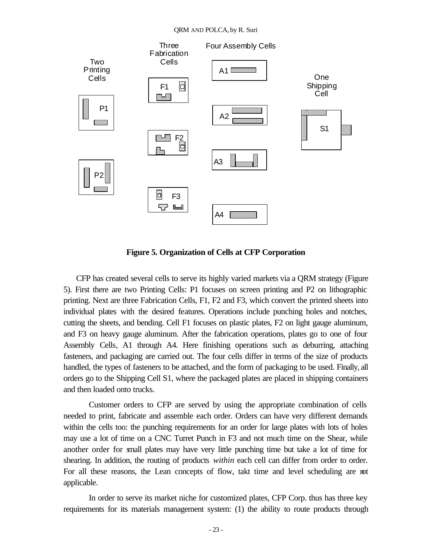#### QRM AND POLCA, by R. Suri



**Figure 5. Organization of Cells at CFP Corporation**

CFP has created several cells to serve its highly varied markets via a QRM strategy (Figure 5). First there are two Printing Cells: P1 focuses on screen printing and P2 on lithographic printing. Next are three Fabrication Cells, F1, F2 and F3, which convert the printed sheets into individual plates with the desired features. Operations include punching holes and notches, cutting the sheets, and bending. Cell F1 focuses on plastic plates, F2 on light gauge aluminum, and F3 on heavy gauge aluminum. After the fabrication operations, plates go to one of four Assembly Cells, A1 through A4. Here finishing operations such as deburring, attaching fasteners, and packaging are carried out. The four cells differ in terms of the size of products handled, the types of fasteners to be attached, and the form of packaging to be used. Finally, all orders go to the Shipping Cell S1, where the packaged plates are placed in shipping containers and then loaded onto trucks.

Customer orders to CFP are served by using the appropriate combination of cells needed to print, fabricate and assemble each order. Orders can have very different demands within the cells too: the punching requirements for an order for large plates with lots of holes may use a lot of time on a CNC Turret Punch in F3 and not much time on the Shear, while another order for small plates may have very little punching time but take a lot of time for shearing. In addition, the routing of products *within* each cell can differ from order to order. For all these reasons, the Lean concepts of flow, takt time and level scheduling are not applicable.

In order to serve its market niche for customized plates, CFP Corp. thus has three key requirements for its materials management system: (1) the ability to route products through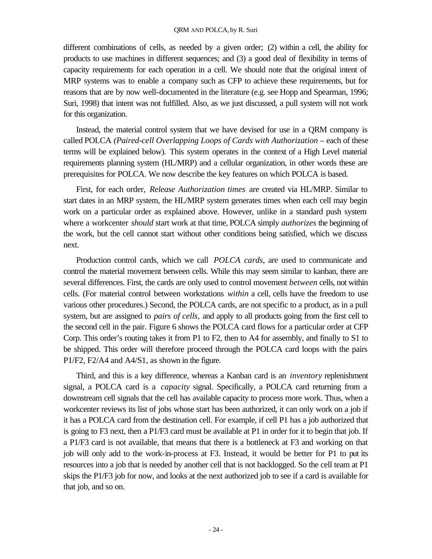different combinations of cells, as needed by a given order; (2) within a cell, the ability for products to use machines in different sequences; and (3) a good deal of flexibility in terms of capacity requirements for each operation in a cell. We should note that the original intent of MRP systems was to enable a company such as CFP to achieve these requirements, but for reasons that are by now well-documented in the literature (e.g. see Hopp and Spearman, 1996; Suri, 1998) that intent was not fulfilled. Also, as we just discussed, a pull system will not work for this organization.

Instead, the material control system that we have devised for use in a QRM company is called POLCA *(Paired-cell Overlapping Loops of Cards with Authorization* – each of these terms will be explained below). This system operates in the context of a High Level material requirements planning system (HL/MRP) and a cellular organization, in other words these are prerequisites for POLCA. We now describe the key features on which POLCA is based.

First, for each order, *Release Authorization times* are created via HL/MRP. Similar to start dates in an MRP system, the HL/MRP system generates times when each cell may begin work on a particular order as explained above. However, unlike in a standard push system where a workcenter *should* start work at that time, POLCA simply *authorizes* the beginning of the work, but the cell cannot start without other conditions being satisfied, which we discuss next.

Production control cards, which we call *POLCA cards*, are used to communicate and control the material movement between cells. While this may seem similar to kanban, there are several differences. First, the cards are only used to control movement *between* cells, not within cells. (For material control between workstations *within* a cell, cells have the freedom to use various other procedures.) Second, the POLCA cards, are not specific to a product, as in a pull system, but are assigned to *pairs of cells,* and apply to all products going from the first cell to the second cell in the pair. Figure 6 shows the POLCA card flows for a particular order at CFP Corp. This order's routing takes it from P1 to F2, then to A4 for assembly, and finally to S1 to be shipped. This order will therefore proceed through the POLCA card loops with the pairs P1/F2, F2/A4 and A4/S1, as shown in the figure.

Third, and this is a key difference, whereas a Kanban card is an *inventory* replenishment signal, a POLCA card is a *capacity* signal. Specifically, a POLCA card returning from a downstream cell signals that the cell has available capacity to process more work. Thus, when a workcenter reviews its list of jobs whose start has been authorized, it can only work on a job if it has a POLCA card from the destination cell. For example, if cell P1 has a job authorized that is going to F3 next, then a P1/F3 card must be available at P1 in order for it to begin that job. If a P1/F3 card is not available, that means that there is a bottleneck at F3 and working on that job will only add to the work-in-process at F3. Instead, it would be better for P1 to put its resources into a job that is needed by another cell that is not backlogged. So the cell team at P1 skips the P1/F3 job for now, and looks at the next authorized job to see if a card is available for that job, and so on.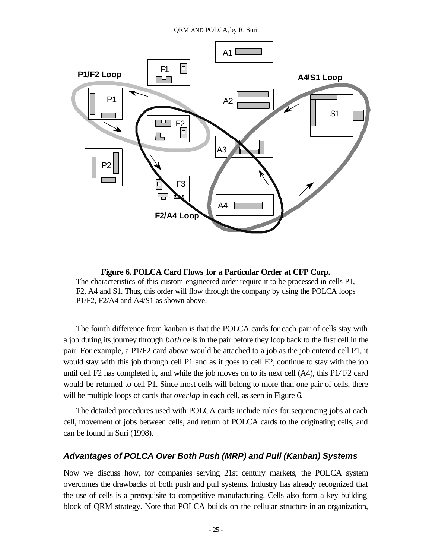

**Figure 6. POLCA Card Flows for a Particular Order at CFP Corp.** The characteristics of this custom-engineered order require it to be processed in cells P1, F2, A4 and S1. Thus, this order will flow through the company by using the POLCA loops P1/F2, F2/A4 and A4/S1 as shown above.

The fourth difference from kanban is that the POLCA cards for each pair of cells stay with a job during its journey through *both* cells in the pair before they loop back to the first cell in the pair. For example, a P1/F2 card above would be attached to a job as the job entered cell P1, it would stay with this job through cell P1 and as it goes to cell F2, continue to stay with the job until cell F2 has completed it, and while the job moves on to its next cell (A4), this P1*/* F2 card would be returned to cell P1. Since most cells will belong to more than one pair of cells, there will be multiple loops of cards that *overlap* in each cell, as seen in Figure 6.

The detailed procedures used with POLCA cards include rules for sequencing jobs at each cell, movement of jobs between cells, and return of POLCA cards to the originating cells, and can be found in Suri (1998).

### *Advantages of POLCA Over Both Push (MRP) and Pull (Kanban) Systems*

Now we discuss how, for companies serving 21st century markets, the POLCA system overcomes the drawbacks of both push and pull systems. Industry has already recognized that the use of cells is a prerequisite to competitive manufacturing. Cells also form a key building block of QRM strategy. Note that POLCA builds on the cellular structure in an organization,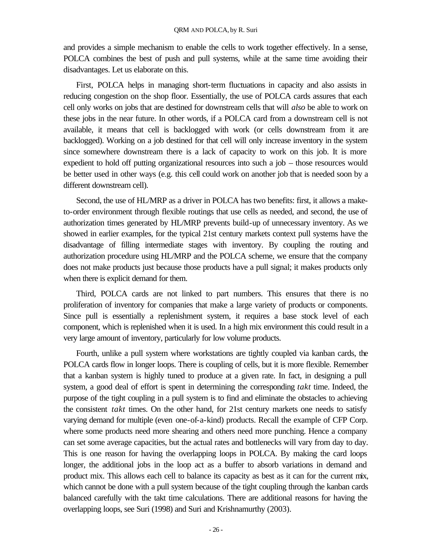and provides a simple mechanism to enable the cells to work together effectively. In a sense, POLCA combines the best of push and pull systems, while at the same time avoiding their disadvantages. Let us elaborate on this.

First, POLCA helps in managing short-term fluctuations in capacity and also assists in reducing congestion on the shop floor. Essentially, the use of POLCA cards assures that each cell only works on jobs that are destined for downstream cells that will *also* be able to work on these jobs in the near future. In other words, if a POLCA card from a downstream cell is not available, it means that cell is backlogged with work (or cells downstream from it are backlogged). Working on a job destined for that cell will only increase inventory in the system since somewhere downstream there is a lack of capacity to work on this job. It is more expedient to hold off putting organizational resources into such a job – those resources would be better used in other ways (e.g. this cell could work on another job that is needed soon by a different downstream cell).

Second, the use of HL/MRP as a driver in POLCA has two benefits: first, it allows a maketo-order environment through flexible routings that use cells as needed, and second, the use of authorization times generated by HL/MRP prevents build-up of unnecessary inventory. As we showed in earlier examples, for the typical 21st century markets context pull systems have the disadvantage of filling intermediate stages with inventory. By coupling the routing and authorization procedure using HL/MRP and the POLCA scheme, we ensure that the company does not make products just because those products have a pull signal; it makes products only when there is explicit demand for them.

Third, POLCA cards are not linked to part numbers. This ensures that there is no proliferation of inventory for companies that make a large variety of products or components. Since pull is essentially a replenishment system, it requires a base stock level of each component, which is replenished when it is used. In a high mix environment this could result in a very large amount of inventory, particularly for low volume products.

Fourth, unlike a pull system where workstations are tightly coupled via kanban cards, the POLCA cards flow in longer loops. There is coupling of cells, but it is more flexible. Remember that a kanban system is highly tuned to produce at a given rate. In fact, in designing a pull system, a good deal of effort is spent in determining the corresponding *takt* time. Indeed, the purpose of the tight coupling in a pull system is to find and eliminate the obstacles to achieving the consistent *takt* times. On the other hand, for 21st century markets one needs to satisfy varying demand for multiple (even one-of-a-kind) products. Recall the example of CFP Corp. where some products need more shearing and others need more punching. Hence a company can set some average capacities, but the actual rates and bottlenecks will vary from day to day. This is one reason for having the overlapping loops in POLCA. By making the card loops longer, the additional jobs in the loop act as a buffer to absorb variations in demand and product mix. This allows each cell to balance its capacity as best as it can for the current mix, which cannot be done with a pull system because of the tight coupling through the kanban cards balanced carefully with the takt time calculations. There are additional reasons for having the overlapping loops, see Suri (1998) and Suri and Krishnamurthy (2003).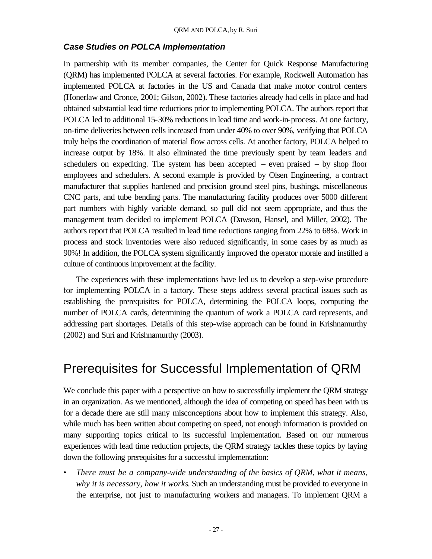#### *Case Studies on POLCA Implementation*

In partnership with its member companies, the Center for Quick Response Manufacturing (QRM) has implemented POLCA at several factories. For example, Rockwell Automation has implemented POLCA at factories in the US and Canada that make motor control centers (Honerlaw and Cronce, 2001; Gilson, 2002). These factories already had cells in place and had obtained substantial lead time reductions prior to implementing POLCA. The authors report that POLCA led to additional 15-30% reductions in lead time and work-in-process. At one factory, on-time deliveries between cells increased from under 40% to over 90%, verifying that POLCA truly helps the coordination of material flow across cells. At another factory, POLCA helped to increase output by 18%. It also eliminated the time previously spent by team leaders and schedulers on expediting. The system has been accepted – even praised – by shop floor employees and schedulers. A second example is provided by Olsen Engineering, a contract manufacturer that supplies hardened and precision ground steel pins, bushings, miscellaneous CNC parts, and tube bending parts. The manufacturing facility produces over 5000 different part numbers with highly variable demand, so pull did not seem appropriate, and thus the management team decided to implement POLCA (Dawson, Hansel, and Miller, 2002). The authors report that POLCA resulted in lead time reductions ranging from 22% to 68%. Work in process and stock inventories were also reduced significantly, in some cases by as much as 90%! In addition, the POLCA system significantly improved the operator morale and instilled a culture of continuous improvement at the facility.

The experiences with these implementations have led us to develop a step-wise procedure for implementing POLCA in a factory. These steps address several practical issues such as establishing the prerequisites for POLCA, determining the POLCA loops, computing the number of POLCA cards, determining the quantum of work a POLCA card represents, and addressing part shortages. Details of this step-wise approach can be found in Krishnamurthy (2002) and Suri and Krishnamurthy (2003).

## Prerequisites for Successful Implementation of QRM

We conclude this paper with a perspective on how to successfully implement the QRM strategy in an organization. As we mentioned, although the idea of competing on speed has been with us for a decade there are still many misconceptions about how to implement this strategy. Also, while much has been written about competing on speed, not enough information is provided on many supporting topics critical to its successful implementation. Based on our numerous experiences with lead time reduction projects, the QRM strategy tackles these topics by laying down the following prerequisites for a successful implementation:

• *There must be a company-wide understanding of the basics of QRM*, *what it means, why it is necessary, how it works*. Such an understanding must be provided to everyone in the enterprise, not just to manufacturing workers and managers. To implement QRM a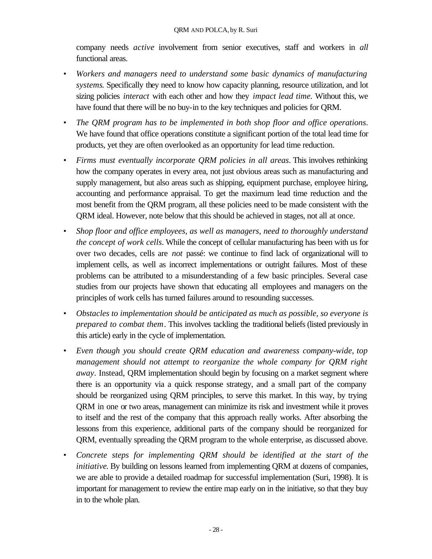company needs *active* involvement from senior executives, staff and workers in *all* functional areas.

- *Workers and managers need to understand some basic dynamics of manufacturing systems*. Specifically they need to know how capacity planning, resource utilization, and lot sizing policies *interact* with each other and how they *impact lead time.* Without this, we have found that there will be no buy-in to the key techniques and policies for QRM.
- *The QRM program has to be implemented in both shop floor and office operations*. We have found that office operations constitute a significant portion of the total lead time for products, yet they are often overlooked as an opportunity for lead time reduction.
- *Firms must eventually incorporate QRM policies in all areas*. This involves rethinking how the company operates in every area, not just obvious areas such as manufacturing and supply management, but also areas such as shipping, equipment purchase, employee hiring, accounting and performance appraisal. To get the maximum lead time reduction and the most benefit from the QRM program, all these policies need to be made consistent with the QRM ideal. However, note below that this should be achieved in stages, not all at once.
- *Shop floor and office employees, as well as managers, need to thoroughly understand the concept of work cells*. While the concept of cellular manufacturing has been with us for over two decades, cells are *not* passé: we continue to find lack of organizational will to implement cells, as well as incorrect implementations or outright failures. Most of these problems can be attributed to a misunderstanding of a few basic principles. Several case studies from our projects have shown that educating all employees and managers on the principles of work cells has turned failures around to resounding successes.
- *Obstacles to implementation should be anticipated as much as possible, so everyone is prepared to combat them*. This involves tackling the traditional beliefs (listed previously in this article) early in the cycle of implementation.
- *Even though you should create QRM education and awareness company-wide, top management should not attempt to reorganize the whole company for QRM right away*. Instead, QRM implementation should begin by focusing on a market segment where there is an opportunity via a quick response strategy, and a small part of the company should be reorganized using QRM principles, to serve this market. In this way, by trying QRM in one or two areas, management can minimize its risk and investment while it proves to itself and the rest of the company that this approach really works. After absorbing the lessons from this experience, additional parts of the company should be reorganized for QRM, eventually spreading the QRM program to the whole enterprise, as discussed above.
- *Concrete steps for implementing QRM should be identified at the start of the initiative*. By building on lessons learned from implementing QRM at dozens of companies, we are able to provide a detailed roadmap for successful implementation (Suri, 1998). It is important for management to review the entire map early on in the initiative, so that they buy in to the whole plan.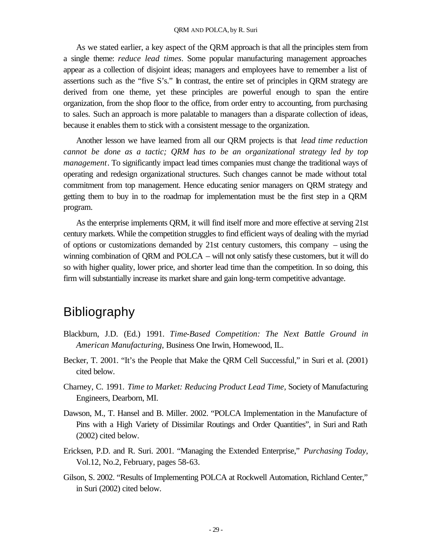As we stated earlier, a key aspect of the QRM approach is that all the principles stem from a single theme: *reduce lead times*. Some popular manufacturing management approaches appear as a collection of disjoint ideas; managers and employees have to remember a list of assertions such as the "five S's." In contrast, the entire set of principles in QRM strategy are derived from one theme, yet these principles are powerful enough to span the entire organization, from the shop floor to the office, from order entry to accounting, from purchasing to sales. Such an approach is more palatable to managers than a disparate collection of ideas, because it enables them to stick with a consistent message to the organization.

Another lesson we have learned from all our QRM projects is that *lead time reduction cannot be done as a tactic; QRM has to be an organizational strategy led by top management*. To significantly impact lead times companies must change the traditional ways of operating and redesign organizational structures. Such changes cannot be made without total commitment from top management. Hence educating senior managers on QRM strategy and getting them to buy in to the roadmap for implementation must be the first step in a QRM program.

As the enterprise implements QRM, it will find itself more and more effective at serving 21st century markets. While the competition struggles to find efficient ways of dealing with the myriad of options or customizations demanded by 21st century customers, this company – using the winning combination of QRM and POLCA – will not only satisfy these customers, but it will do so with higher quality, lower price, and shorter lead time than the competition. In so doing, this firm will substantially increase its market share and gain long-term competitive advantage.

## Bibliography

- Blackburn, J.D. (Ed.) 1991. *Time-Based Competition: The Next Battle Ground in American Manufacturing,* Business One Irwin, Homewood, IL.
- Becker, T. 2001. "It's the People that Make the QRM Cell Successful," in Suri et al. (2001) cited below.
- Charney, C. 1991. *Time to Market: Reducing Product Lead Time,* Society of Manufacturing Engineers, Dearborn, MI.
- Dawson, M., T. Hansel and B. Miller. 2002. "POLCA Implementation in the Manufacture of Pins with a High Variety of Dissimilar Routings and Order Quantities", in Suri and Rath (2002) cited below.
- Ericksen, P.D. and R. Suri. 2001. "Managing the Extended Enterprise," *Purchasing Today*, Vol.12, No.2, February, pages 58-63.
- Gilson, S. 2002. "Results of Implementing POLCA at Rockwell Automation, Richland Center," in Suri (2002) cited below.